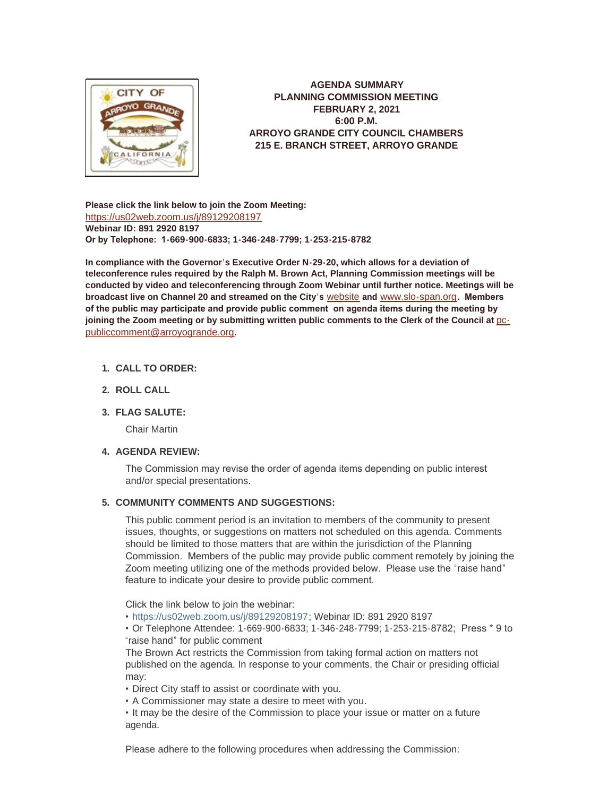

**AGENDA SUMMARY PLANNING COMMISSION MEETING FEBRUARY 2, 2021 6:00 P.M. ARROYO GRANDE CITY COUNCIL CHAMBERS 215 E. BRANCH STREET, ARROYO GRANDE**

**Please click the link below to join the Zoom Meeting:** <https://us02web.zoom.us/j/89129208197> **Webinar ID: 891 2920 8197 Or by Telephone: 1-669-900-6833; 1-346-248-7799; 1-253-215-8782**

**In compliance with the Governor's Executive Order N-29-20, which allows for a deviation of teleconference rules required by the Ralph M. Brown Act, Planning Commission meetings will be conducted by video and teleconferencing through Zoom Webinar until further notice. Meetings will be broadcast live on Channel 20 and streamed on the City's** [website](http://www.arroyogrande.org/631/Govt-Access-TV---Channel-20) **and** [www.slo-span.org](https://cal-span.org/unipage/index.php?site=slo-span&channel=2&site=slo-span&channel=2)**. Members of the public may participate and provide public comment on agenda items during the meeting by**  joining the Zoom meeting or by submitting written public comments to the Clerk of the Council at **pc**publiccomment@arroyogrande.org**.** 

# **CALL TO ORDER: 1.**

**ROLL CALL 2.**

# **FLAG SALUTE: 3.**

Chair Martin

# **AGENDA REVIEW: 4.**

The Commission may revise the order of agenda items depending on public interest and/or special presentations.

#### **COMMUNITY COMMENTS AND SUGGESTIONS: 5.**

This public comment period is an invitation to members of the community to present issues, thoughts, or suggestions on matters not scheduled on this agenda. Comments should be limited to those matters that are within the jurisdiction of the Planning Commission. Members of the public may provide public comment remotely by joining the Zoom meeting utilizing one of the methods provided below. Please use the "raise hand" feature to indicate your desire to provide public comment.

Click the link below to join the webinar:

• <https://us02web.zoom.us/j/89129208197>; Webinar ID: 891 2920 8197

• Or Telephone Attendee: 1-669-900-6833; 1-346-248-7799; 1-253-215-8782; Press \* 9 to "raise hand" for public comment

The Brown Act restricts the Commission from taking formal action on matters not published on the agenda. In response to your comments, the Chair or presiding official may:

• Direct City staff to assist or coordinate with you.

• A Commissioner may state a desire to meet with you.

• It may be the desire of the Commission to place your issue or matter on a future agenda.

Please adhere to the following procedures when addressing the Commission: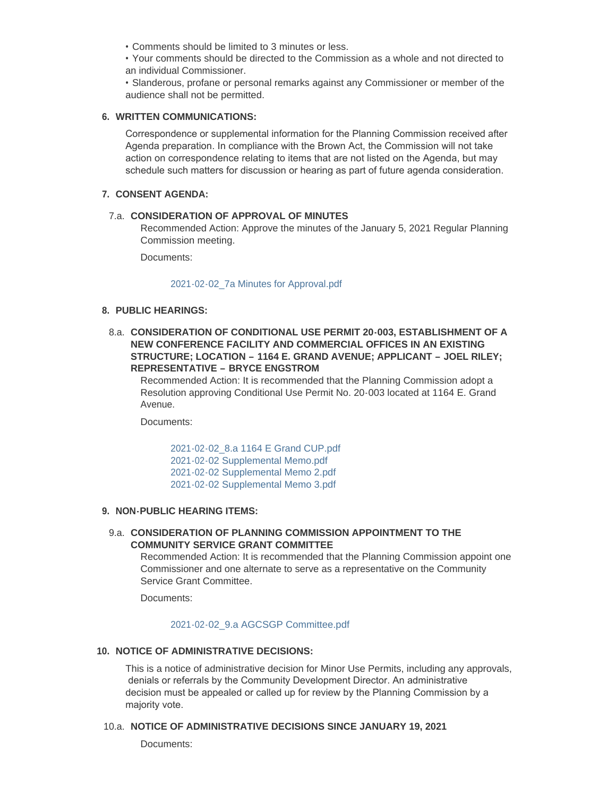• Comments should be limited to 3 minutes or less.

• Your comments should be directed to the Commission as a whole and not directed to an individual Commissioner.

• Slanderous, profane or personal remarks against any Commissioner or member of the audience shall not be permitted.

### **WRITTEN COMMUNICATIONS: 6.**

Correspondence or supplemental information for the Planning Commission received after Agenda preparation. In compliance with the Brown Act, the Commission will not take action on correspondence relating to items that are not listed on the Agenda, but may schedule such matters for discussion or hearing as part of future agenda consideration.

### **CONSENT AGENDA: 7.**

# **CONSIDERATION OF APPROVAL OF MINUTES**  7.a.

Recommended Action: Approve the minutes of the January 5, 2021 Regular Planning Commission meeting.

Documents:

#### [2021-02-02\\_7a Minutes for Approval.pdf](http://www.arroyogrande.org/AgendaCenter/ViewFile/Item/10660?fileID=16675)

# **PUBLIC HEARINGS: 8.**

**CONSIDERATION OF CONDITIONAL USE PERMIT 20-003, ESTABLISHMENT OF A**  8.a. **NEW CONFERENCE FACILITY AND COMMERCIAL OFFICES IN AN EXISTING STRUCTURE; LOCATION – 1164 E. GRAND AVENUE; APPLICANT – JOEL RILEY; REPRESENTATIVE – BRYCE ENGSTROM**

Recommended Action: It is recommended that the Planning Commission adopt a Resolution approving Conditional Use Permit No. 20-003 located at 1164 E. Grand Avenue.

Documents:

[2021-02-02\\_8.a 1164 E Grand CUP.pdf](http://www.arroyogrande.org/AgendaCenter/ViewFile/Item/10677?fileID=16680) [2021-02-02 Supplemental Memo.pdf](http://www.arroyogrande.org/AgendaCenter/ViewFile/Item/10677?fileID=16681) [2021-02-02 Supplemental Memo 2.pdf](http://www.arroyogrande.org/AgendaCenter/ViewFile/Item/10677?fileID=16684) [2021-02-02 Supplemental Memo 3.pdf](http://www.arroyogrande.org/AgendaCenter/ViewFile/Item/10677?fileID=16685)

## **NON-PUBLIC HEARING ITEMS: 9.**

## **CONSIDERATION OF PLANNING COMMISSION APPOINTMENT TO THE**  9.a. **COMMUNITY SERVICE GRANT COMMITTEE**

Recommended Action: It is recommended that the Planning Commission appoint one Commissioner and one alternate to serve as a representative on the Community Service Grant Committee.

Documents:

# [2021-02-02\\_9.a AGCSGP Committee.pdf](http://www.arroyogrande.org/AgendaCenter/ViewFile/Item/10662?fileID=16677)

## **NOTICE OF ADMINISTRATIVE DECISIONS: 10.**

This is a notice of administrative decision for Minor Use Permits, including any approvals, denials or referrals by the Community Development Director. An administrative decision must be appealed or called up for review by the Planning Commission by a majority vote.

#### **NOTICE OF ADMINISTRATIVE DECISIONS SINCE JANUARY 19, 2021** 10.a.

Documents: